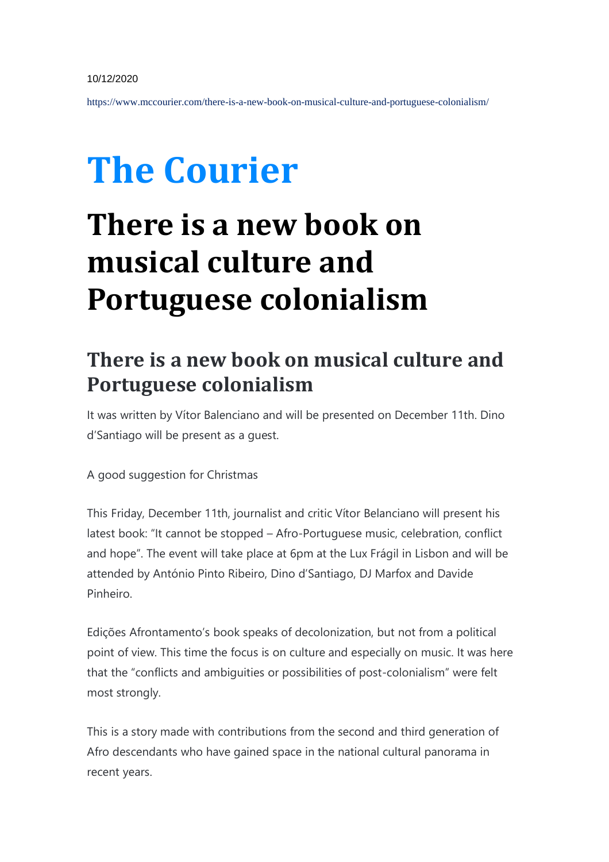https://www.mccourier.com/there-is-a-new-book-on-musical-culture-and-portuguese-colonialism/

## **The Courier**

## **There is a new book on musical culture and Portuguese colonialism**

## **There is a new book on musical culture and Portuguese colonialism**

It was written by Vítor Balenciano and will be presented on December 11th. Dino d'Santiago will be present as a guest.

A good suggestion for Christmas

This Friday, December 11th, journalist and critic Vítor Belanciano will present his latest book: "It cannot be stopped – Afro-Portuguese music, celebration, conflict and hope". The event will take place at 6pm at the Lux Frágil in Lisbon and will be attended by António Pinto Ribeiro, Dino d'Santiago, DJ Marfox and Davide Pinheiro.

Edições Afrontamento's book speaks of decolonization, but not from a political point of view. This time the focus is on culture and especially on music. It was here that the "conflicts and ambiguities or possibilities of post-colonialism" were felt most strongly.

This is a story made with contributions from the second and third generation of Afro descendants who have gained space in the national cultural panorama in recent years.